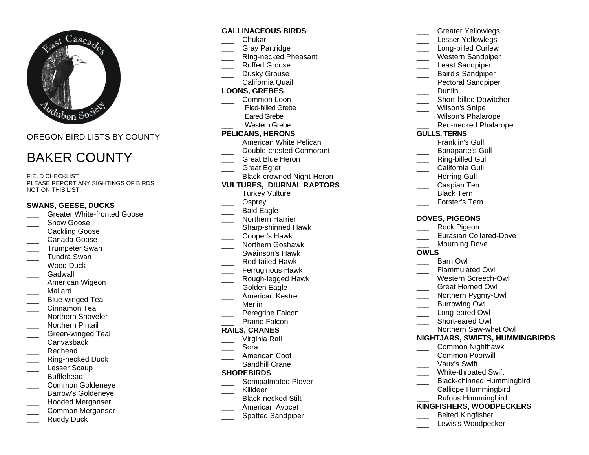

OREGON BIRD LISTS BY COUNTY

# BAKER COUNTY

FIFLD CHECKLIST PLEASE REPORT ANY SIGHTINGS OF BIRDS NOT ON THIS LIST

#### **SWANS, GEESE, DUCKS**

- Greater White-fronted Goose
- Snow Goose
- Cackling Goose
- \_\_\_ Canada Goose
- Trumpeter Swan
- \_\_\_ Tundra Swan
- Wood Duck
- Gadwall
- American Wigeon
- \_\_\_ Mallard
- Blue-winged Teal
- Cinnamon Teal
- Northern Shoveler
- \_\_\_ Northern Pintail
- Green-winged Teal
- \_\_\_ Canvasback
- \_\_\_ Redhead
- \_\_\_ Ring-necked Duck
- Lesser Scaup
- \_\_\_ Bufflehead
- \_\_\_ Common Goldeneye
- \_\_\_ Barrow's Goldeneye
- \_\_\_ Hooded Merganser
- \_\_\_ Common Merganser
- Ruddy Duck

## **GALLINACEOUS BIRDS**

- \_\_\_ Chukar
- Gray Partridge
- \_\_\_ Ring-necked Pheasant
- \_\_\_ Ruffed Grouse
	- Dusky Grouse California Quail

## **LOONS, GREBES**

- Common Loon
- **\_\_\_** Pied-billed Grebe
- Eared Grebe
- Western Grebe

## **PELICANS, HERONS**

- American White Pelican
- Double-crested Cormorant
- Great Blue Heron
- Great Egret
- Black-crowned Night-Heron
- **VULTURES, DIURNAL RAPTORS**
- Turkey Vulture
- \_\_\_ Osprey Bald Eagle
- \_\_\_ Northern Harrier
- \_\_\_ Sharp-shinned Hawk
- \_\_\_ Cooper's Hawk
- \_\_\_ Northern Goshawk
- \_\_\_ Swainson's Hawk
- \_\_\_ Red-tailed Hawk
- Ferruginous Hawk
- \_\_\_ Rough-legged Hawk
- Golden Eagle
- \_\_\_ American Kestrel
- \_\_\_ Merlin
- Peregrine Falcon
- Prairie Falcon

#### **RAILS, CRANES**

- \_\_\_ Virginia Rail
- \_\_\_ Sora
- American Coot
- Sandhill Crane

#### **SHOREBIRDS**

- Semipalmated Plover
- Killdeer
- \_\_\_ Black-necked Stilt
- \_\_\_ American Avocet
- \_\_\_ Spotted Sandpiper
- Greater Yellowlegs
- Lesser Yellowlegs
- Long-billed Curlew
- \_\_\_ Western Sandpiper
- Least Sandpiper
- Baird's Sandpiper
- Pectoral Sandpiper
- \_\_\_ Dunlin
- Short-billed Dowitcher
- Wilson's Snipe
- Wilson's Phalarope
- Red-necked Phalarope

#### **GULLS, TERNS**

- Franklin's Gull
- \_\_\_ Bonaparte's Gull
- Ring-billed Gull
- California Gull
- 
- Herring Gull
- \_\_\_ Caspian Tern
- Black Tern
- Forster's Tern

#### **DOVES, PIGEONS**

- Rock Pigeon
- Eurasian Collared-Dove

Flammulated Owl Western Screech-Owl \_\_\_ Great Horned Owl Northern Pygmy-Owl Burrowing Owl Long-eared Owl \_\_\_ Short-eared Owl

Northern Saw-whet Owl **NIGHTJARS, SWIFTS, HUMMINGBIRDS**

> \_\_\_ Common Nighthawk Common Poorwill \_\_\_ Vaux's Swift

> White-throated Swift

\_\_\_\_ Calliope Hummingbird \_\_\_ Rufous Hummingbird **KINGFISHERS, WOODPECKERS** \_\_\_ Belted Kingfisher Lewis's Woodpecker

Black-chinned Hummingbird

Mourning Dove **OWLS**

Barn Owl